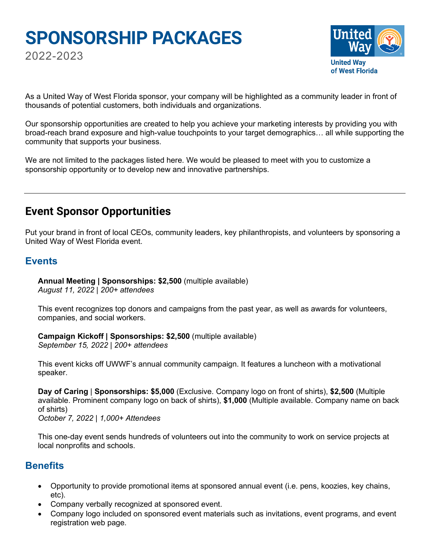# **SPONSORSHIP PACKAGES**

2022-2023



As a United Way of West Florida sponsor, your company will be highlighted as a community leader in front of thousands of potential customers, both individuals and organizations.

Our sponsorship opportunities are created to help you achieve your marketing interests by providing you with broad-reach brand exposure and high-value touchpoints to your target demographics… all while supporting the community that supports your business.

We are not limited to the packages listed here. We would be pleased to meet with you to customize a sponsorship opportunity or to develop new and innovative partnerships.

# **Event Sponsor Opportunities**

Put your brand in front of local CEOs, community leaders, key philanthropists, and volunteers by sponsoring a United Way of West Florida event.

# **Events**

**Annual Meeting | Sponsorships: \$2,500** (multiple available) *August 11, 2022 | 200+ attendees*

This event recognizes top donors and campaigns from the past year, as well as awards for volunteers, companies, and social workers.

**Campaign Kickoff | Sponsorships: \$2,500** (multiple available) *September 15, 2022 | 200+ attendees*

This event kicks off UWWF's annual community campaign. It features a luncheon with a motivational speaker.

**Day of Caring** | **Sponsorships: \$5,000** (Exclusive. Company logo on front of shirts), **\$2,500** (Multiple available. Prominent company logo on back of shirts), **\$1,000** (Multiple available. Company name on back of shirts)

*October 7, 2022 | 1,000+ Attendees*

This one-day event sends hundreds of volunteers out into the community to work on service projects at local nonprofits and schools.

# **Benefits**

- Opportunity to provide promotional items at sponsored annual event (i.e. pens, koozies, key chains, etc).
- Company verbally recognized at sponsored event.
- Company logo included on sponsored event materials such as invitations, event programs, and event registration web page.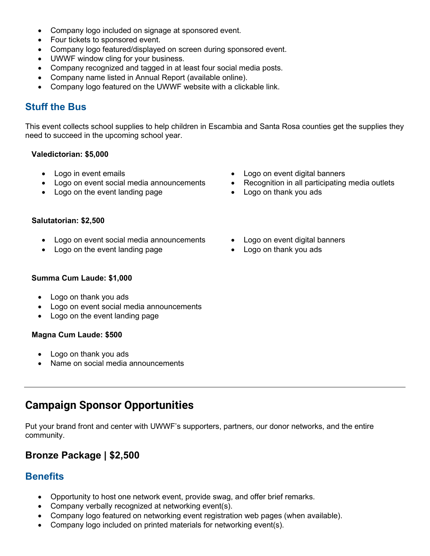- Company logo included on signage at sponsored event.
- Four tickets to sponsored event.
- Company logo featured/displayed on screen during sponsored event.
- UWWF window cling for your business.
- Company recognized and tagged in at least four social media posts.
- Company name listed in Annual Report (available online).
- Company logo featured on the UWWF website with a clickable link.

# **Stuff the Bus**

This event collects school supplies to help children in Escambia and Santa Rosa counties get the supplies they need to succeed in the upcoming school year.

#### **Valedictorian: \$5,000**

- Logo in event emails
- Logo on event social media announcements
- Logo on the event landing page
- Logo on event digital banners
- Recognition in all participating media outlets
- Logo on thank you ads

## **Salutatorian: \$2,500**

- Logo on event social media announcements
- Logo on the event landing page
- Logo on event digital banners
- Logo on thank you ads

## **Summa Cum Laude: \$1,000**

- Logo on thank you ads
- Logo on event social media announcements
- Logo on the event landing page

## **Magna Cum Laude: \$500**

- Logo on thank you ads
- Name on social media announcements

# **Campaign Sponsor Opportunities**

Put your brand front and center with UWWF's supporters, partners, our donor networks, and the entire community.

# **Bronze Package | \$2,500**

# **Benefits**

- Opportunity to host one network event, provide swag, and offer brief remarks.
- Company verbally recognized at networking event(s).
- Company logo featured on networking event registration web pages (when available).
- Company logo included on printed materials for networking event(s).